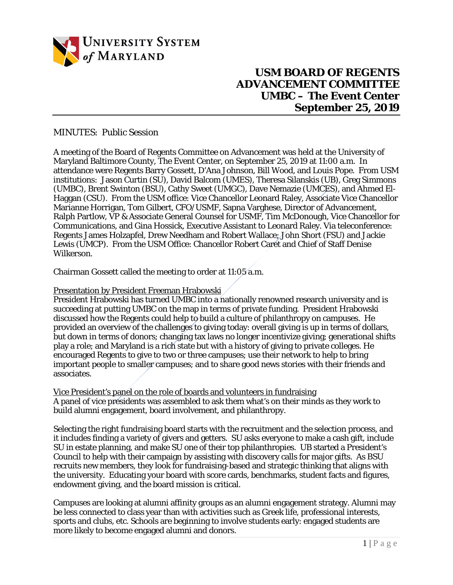

## **USM BOARD OF REGENTS ADVANCEMENT COMMITTEE UMBC – The Event Center September 25, 2019**

## MINUTES: Public Session

A meeting of the Board of Regents Committee on Advancement was held at the University of Maryland Baltimore County, The Event Center, on September 25, 2019 at 11:00 a.m. In attendance were Regents Barry Gossett, D'Ana Johnson, Bill Wood, and Louis Pope. From USM institutions: Jason Curtin (SU), David Balcom (UMES), Theresa Silanskis (UB), Greg Simmons (UMBC), Brent Swinton (BSU), Cathy Sweet (UMGC), Dave Nemazie (UMCES), and Ahmed El-Haggan (CSU). From the USM office: Vice Chancellor Leonard Raley, Associate Vice Chancellor Marianne Horrigan, Tom Gilbert, CFO/USMF, Sapna Varghese, Director of Advancement, Ralph Partlow, VP & Associate General Counsel for USMF, Tim McDonough, Vice Chancellor for Communications, and Gina Hossick, Executive Assistant to Leonard Raley. Via teleconference: Regents James Holzapfel, Drew Needham and Robert Wallace; John Short (FSU) and Jackie Lewis (UMCP). From the USM Office: Chancellor Robert Caret and Chief of Staff Denise Wilkerson.

Chairman Gossett called the meeting to order at 11:05 a.m.

## Presentation by President Freeman Hrabowski

President Hrabowski has turned UMBC into a nationally renowned research university and is succeeding at putting UMBC on the map in terms of private funding. President Hrabowski discussed how the Regents could help to build a culture of philanthropy on campuses. He provided an overview of the challenges to giving today: overall giving is up in terms of dollars, but down in terms of donors; changing tax laws no longer incentivize giving; generational shifts play a role; and Maryland is a rich state but with a history of giving to private colleges. He encouraged Regents to give to two or three campuses; use their network to help to bring important people to smaller campuses; and to share good news stories with their friends and associates.

Vice President's panel on the role of boards and volunteers in fundraising A panel of vice presidents was assembled to ask them what's on their minds as they work to build alumni engagement, board involvement, and philanthropy.

Selecting the right fundraising board starts with the recruitment and the selection process, and it includes finding a variety of givers and getters. SU asks everyone to make a cash gift, include SU in estate planning, and make SU one of their top philanthropies. UB started a President's Council to help with their campaign by assisting with discovery calls for major gifts. As BSU recruits new members, they look for fundraising-based and strategic thinking that aligns with the university. Educating your board with score cards, benchmarks, student facts and figures, endowment giving, and the board mission is critical.

Campuses are looking at alumni affinity groups as an alumni engagement strategy. Alumni may be less connected to class year than with activities such as Greek life, professional interests, sports and clubs, etc. Schools are beginning to involve students early: engaged students are more likely to become engaged alumni and donors.